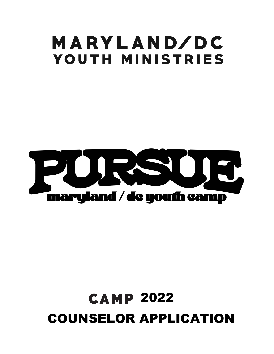# MARYLAND/DC **YOUTH MINISTRIES**



## **CAMP 2022** COUNSELOR APPLICATION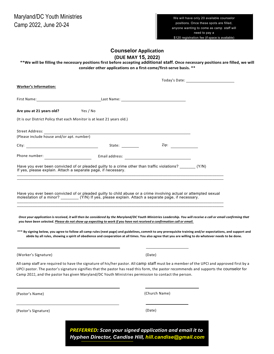## **Counselor** Application **(DUE MAY 15, 2022)**

\*\*We will be filling the necessary positions first before accepting additional staff. Once necessary positions are filled, we will **consider other applications on a first-come/first-serve basis. \*\***

|                                                                                                                                                                                                                                                                                                                                                                                                                                                                                                                                                                                                                                                                                                                                                                                                                                               |                                                                                                                                                                                                                                     | Today's Date: The Contract of the Contract of the Contract of the Contract of the Contract of the Contract of the Contract of the Contract of the Contract of the Contract of the Contract of the Contract of the Contract of |
|-----------------------------------------------------------------------------------------------------------------------------------------------------------------------------------------------------------------------------------------------------------------------------------------------------------------------------------------------------------------------------------------------------------------------------------------------------------------------------------------------------------------------------------------------------------------------------------------------------------------------------------------------------------------------------------------------------------------------------------------------------------------------------------------------------------------------------------------------|-------------------------------------------------------------------------------------------------------------------------------------------------------------------------------------------------------------------------------------|-------------------------------------------------------------------------------------------------------------------------------------------------------------------------------------------------------------------------------|
| <b>Worker's Information:</b>                                                                                                                                                                                                                                                                                                                                                                                                                                                                                                                                                                                                                                                                                                                                                                                                                  |                                                                                                                                                                                                                                     |                                                                                                                                                                                                                               |
| First Name: <u>Name: Alexander School and Taures and Last Name:</u> Name: <u>Name: Alexander School and Taures and Taures and Taures and Taures and Taures and Taures and Taures and Taures and Taures and Taures and Taures and Taur</u>                                                                                                                                                                                                                                                                                                                                                                                                                                                                                                                                                                                                     |                                                                                                                                                                                                                                     |                                                                                                                                                                                                                               |
| Are you at 21 years old?<br>Yes / No                                                                                                                                                                                                                                                                                                                                                                                                                                                                                                                                                                                                                                                                                                                                                                                                          |                                                                                                                                                                                                                                     |                                                                                                                                                                                                                               |
| (It is our District Policy that each Monitor is at least 21 years old.)                                                                                                                                                                                                                                                                                                                                                                                                                                                                                                                                                                                                                                                                                                                                                                       |                                                                                                                                                                                                                                     |                                                                                                                                                                                                                               |
| (Please include nouse and/or apt. number)                                                                                                                                                                                                                                                                                                                                                                                                                                                                                                                                                                                                                                                                                                                                                                                                     |                                                                                                                                                                                                                                     |                                                                                                                                                                                                                               |
|                                                                                                                                                                                                                                                                                                                                                                                                                                                                                                                                                                                                                                                                                                                                                                                                                                               |                                                                                                                                                                                                                                     |                                                                                                                                                                                                                               |
|                                                                                                                                                                                                                                                                                                                                                                                                                                                                                                                                                                                                                                                                                                                                                                                                                                               | <b>Example 2</b> in the state of the state of the state of the state of the state of the state of the state of the state of the state of the state of the state of the state of the state of the state of the state of the state of |                                                                                                                                                                                                                               |
|                                                                                                                                                                                                                                                                                                                                                                                                                                                                                                                                                                                                                                                                                                                                                                                                                                               |                                                                                                                                                                                                                                     |                                                                                                                                                                                                                               |
| Have you ever been convicted of or pleaded guilty to a crime other than traffic violations? _______ (Y/N)<br>If yes, please explain. Attach a separate page, if necessary.                                                                                                                                                                                                                                                                                                                                                                                                                                                                                                                                                                                                                                                                    |                                                                                                                                                                                                                                     |                                                                                                                                                                                                                               |
|                                                                                                                                                                                                                                                                                                                                                                                                                                                                                                                                                                                                                                                                                                                                                                                                                                               |                                                                                                                                                                                                                                     |                                                                                                                                                                                                                               |
| Have you ever been convicted of or pleaded guilty to child abuse or a crime involving actual or attempted sexual<br>molestation of a minor? _________(Y/N) If yes, please explain. Attach a separate page, if necessary.<br>Once your application is received, it will then be considered by the Maryland/DC Youth Ministries Leadership. You will receive a call or email confirming that<br>you have been selected. Please do not show up expecting to work if you have not received a confirmation call or email.<br>*** By signing below, you agree to follow all camp rules (next page) and guidelines, commit to any prerequisite training and/or expectations, and support and<br>abide by all rules, showing a spirit of obedience and cooperation at all times. You also agree that you are willing to do whatever needs to be done. |                                                                                                                                                                                                                                     |                                                                                                                                                                                                                               |
| (Worker's Signature)                                                                                                                                                                                                                                                                                                                                                                                                                                                                                                                                                                                                                                                                                                                                                                                                                          | (Date)                                                                                                                                                                                                                              |                                                                                                                                                                                                                               |
| All camp staff are required to have the signature of his/her pastor. All camp <code>staff</code> must be a member of the UPCI and approved first by a<br>UPCI pastor. The pastor's signature signifies that the pastor has read this form, the pastor recommends and supports the COUNSelor for<br>Camp 2022, and the pastor has given Maryland/DC Youth Ministries permission to contact the person.                                                                                                                                                                                                                                                                                                                                                                                                                                         |                                                                                                                                                                                                                                     |                                                                                                                                                                                                                               |
| (Pastor's Name)                                                                                                                                                                                                                                                                                                                                                                                                                                                                                                                                                                                                                                                                                                                                                                                                                               | (Church Name)                                                                                                                                                                                                                       |                                                                                                                                                                                                                               |
| (Pastor's Signature)                                                                                                                                                                                                                                                                                                                                                                                                                                                                                                                                                                                                                                                                                                                                                                                                                          | (Date)                                                                                                                                                                                                                              |                                                                                                                                                                                                                               |
|                                                                                                                                                                                                                                                                                                                                                                                                                                                                                                                                                                                                                                                                                                                                                                                                                                               | <b>PREFERRED:</b> Scan your signed application and email it to<br>Hyphen Director, Candise Hill, hill.candise@gmail.com                                                                                                             |                                                                                                                                                                                                                               |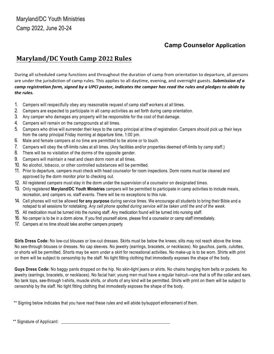## **Camp Counselor Application**

## **Maryland/DC Youth Camp 2022 Rules**

During all scheduled camp functions and throughout the duration of camp from orientation to departure, all persons are under the jurisdiction of camp rules. This applies to all daytime, evening, and overnight guests. **Submission of a** *camp* registration form, signed by a UPCI pastor, indicates the camper has read the rules and pledges to abide by *the rules.*

- 1. Campers will respectfully obey any reasonable request of camp staff workers at all times.
- 2. Campers are expected to participate in all camp activities as set forth during camp orientation.
- 3. Any camper who damages any property will be responsible for the cost of that damage.
- 4. Campers will remain on the campgrounds at all times.
- 5. Campers who drive will surrender their keys to the camp principal at time of registration. Campers should pick up their keys from the camp principal Friday morning at departure time, 1:00 pm.
- 6. Male and female campers at no time are permitted to be alone or to touch.
- 7. Campers will obey the off-limits rules at all times. (Any facilities and/or properties deemed off-limits by camp staff.)
- 8. There will be no visitation of the dorms of the opposite gender.
- 9. Campers will maintain a neat and clean dorm room at all times.
- 10. No alcohol, tobacco, or other controlled substances will be permitted.
- 11. Prior to departure, campers must check with head counselor for room inspections. Dorm rooms must be cleaned and approved by the dorm monitor prior to checking out.
- 12. All registered campers must stay in the dorm under the supervision of a counselor on designated times.
- 13. Only registered **Maryland/DC Youth Ministries** campers will be permitted to participate in camp activities to include meals, recreation, and campers vs. staff events. There will be no exceptions to this rule.
- 14. Cell phones will not be allowed **for any purpose** during service times. We encourage all students to bring their Bible and a notepad to all sessions for notetaking. *Any cell phone spotted during service will be taken until the end of the week.*
- 15. All medication must be turned into the nursing staff. Any medication found will be turned into nursing staff.
- 16. No camper is to be in a dorm alone. If you find yourself alone, please find a counselor or camp staff immediately.
- 17. Campers at no time should take another campers property

**Girls Dress Code:** No low-cut blouses or low-cut dresses. Skirts must be below the knees; slits may not reach above the knee. No see-through blouses or dresses. No cap sleeves. No jewelry (earrings, bracelets, or necklaces). No gauchos, pants, culottes, or shorts will be permitted. Shorts may be worn under a skirt for recreational activities. No make-up is to be worn. Shirts with print on them will be subject to censorship by the staff. No tight fitting clothing that immodestly exposes the shape of the body.

**Guys Dress Code:** No baggy pants dropped on the hip. No skin-tight jeans or shirts. No chains hanging from belts or pockets. No jewelry (earrings, bracelets, or necklaces). No facial hair; young men must have a regular haircut—one that is off the collar and ears. No tank tops, see-through t-shirts, muscle shirts, or shorts of any kind will be permitted. Shirts with print on them will be subject to censorship by the staff. No tight fitting clothing that immodestly exposes the shape of the body.

\*\* Signing below indicates that you have read these rules and will abide by/support enforcement of them.